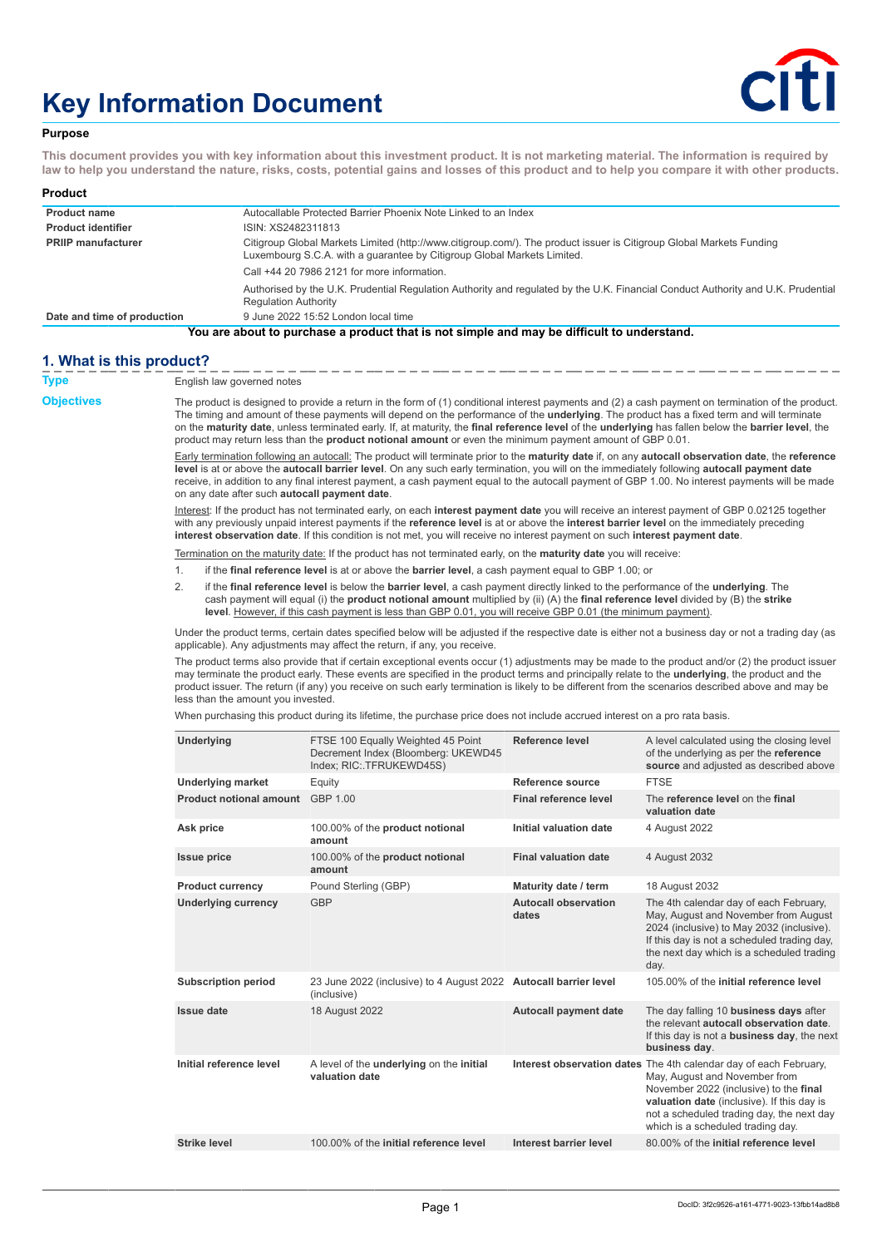# **Key Information Document**



## **Purpose**

**This document provides you with key information about this investment product. It is not marketing material. The information is required by law to help you understand the nature, risks, costs, potential gains and losses of this product and to help you compare it with other products.**

| Product                     |                                                                                                                                                                                                 |  |
|-----------------------------|-------------------------------------------------------------------------------------------------------------------------------------------------------------------------------------------------|--|
| <b>Product name</b>         | Autocallable Protected Barrier Phoenix Note Linked to an Index                                                                                                                                  |  |
| <b>Product identifier</b>   | ISIN: XS2482311813                                                                                                                                                                              |  |
| <b>PRIIP manufacturer</b>   | Citigroup Global Markets Limited (http://www.citigroup.com/). The product issuer is Citigroup Global Markets Funding<br>Luxembourg S.C.A. with a quarantee by Citigroup Global Markets Limited. |  |
|                             | Call +44 20 7986 2121 for more information.                                                                                                                                                     |  |
|                             | Authorised by the U.K. Prudential Regulation Authority and regulated by the U.K. Financial Conduct Authority and U.K. Prudential<br><b>Regulation Authority</b>                                 |  |
| Date and time of production | 9 June 2022 15:52 London local time                                                                                                                                                             |  |
|                             | You are about to purchase a product that is not simple and may be difficult to understand.                                                                                                      |  |

## **1. What is this product?**

| <b>Type</b>       | English law governed notes                                                                                                                                                                                                                                                                                                                                                                                                                                                                                                                                                |                                                                                                                                                                                                                                                                                                                                                                                                                                                                                               |                                      |                                                                                                                                                                                                                                                                              |  |
|-------------------|---------------------------------------------------------------------------------------------------------------------------------------------------------------------------------------------------------------------------------------------------------------------------------------------------------------------------------------------------------------------------------------------------------------------------------------------------------------------------------------------------------------------------------------------------------------------------|-----------------------------------------------------------------------------------------------------------------------------------------------------------------------------------------------------------------------------------------------------------------------------------------------------------------------------------------------------------------------------------------------------------------------------------------------------------------------------------------------|--------------------------------------|------------------------------------------------------------------------------------------------------------------------------------------------------------------------------------------------------------------------------------------------------------------------------|--|
| <b>Objectives</b> | The product is designed to provide a return in the form of (1) conditional interest payments and (2) a cash payment on termination of the product.<br>The timing and amount of these payments will depend on the performance of the underlying. The product has a fixed term and will terminate<br>on the maturity date, unless terminated early. If, at maturity, the final reference level of the underlying has fallen below the barrier level, the<br>product may return less than the <b>product notional amount</b> or even the minimum payment amount of GBP 0.01. |                                                                                                                                                                                                                                                                                                                                                                                                                                                                                               |                                      |                                                                                                                                                                                                                                                                              |  |
|                   | Early termination following an autocall: The product will terminate prior to the maturity date if, on any autocall observation date, the reference<br>level is at or above the autocall barrier level. On any such early termination, you will on the immediately following autocall payment date<br>receive, in addition to any final interest payment, a cash payment equal to the autocall payment of GBP 1.00. No interest payments will be made<br>on any date after such autocall payment date.                                                                     |                                                                                                                                                                                                                                                                                                                                                                                                                                                                                               |                                      |                                                                                                                                                                                                                                                                              |  |
|                   |                                                                                                                                                                                                                                                                                                                                                                                                                                                                                                                                                                           | Interest: If the product has not terminated early, on each interest payment date you will receive an interest payment of GBP 0.02125 together<br>with any previously unpaid interest payments if the reference level is at or above the interest barrier level on the immediately preceding<br>interest observation date. If this condition is not met, you will receive no interest payment on such interest payment date.                                                                   |                                      |                                                                                                                                                                                                                                                                              |  |
|                   |                                                                                                                                                                                                                                                                                                                                                                                                                                                                                                                                                                           | Termination on the maturity date: If the product has not terminated early, on the maturity date you will receive:                                                                                                                                                                                                                                                                                                                                                                             |                                      |                                                                                                                                                                                                                                                                              |  |
|                   | 1.                                                                                                                                                                                                                                                                                                                                                                                                                                                                                                                                                                        | if the final reference level is at or above the barrier level, a cash payment equal to GBP 1.00; or                                                                                                                                                                                                                                                                                                                                                                                           |                                      |                                                                                                                                                                                                                                                                              |  |
|                   | 2.                                                                                                                                                                                                                                                                                                                                                                                                                                                                                                                                                                        | if the final reference level is below the barrier level, a cash payment directly linked to the performance of the underlying. The<br>cash payment will equal (i) the <b>product notional amount</b> multiplied by (ii) $(A)$ the <b>final reference level</b> divided by $(B)$ the <b>strike</b><br>level. However, if this cash payment is less than GBP 0.01, you will receive GBP 0.01 (the minimum payment).                                                                              |                                      |                                                                                                                                                                                                                                                                              |  |
|                   |                                                                                                                                                                                                                                                                                                                                                                                                                                                                                                                                                                           | Under the product terms, certain dates specified below will be adjusted if the respective date is either not a business day or not a trading day (as<br>applicable). Any adjustments may affect the return, if any, you receive.                                                                                                                                                                                                                                                              |                                      |                                                                                                                                                                                                                                                                              |  |
|                   |                                                                                                                                                                                                                                                                                                                                                                                                                                                                                                                                                                           | The product terms also provide that if certain exceptional events occur (1) adjustments may be made to the product and/or (2) the product issuer<br>may terminate the product early. These events are specified in the product terms and principally relate to the underlying, the product and the<br>product issuer. The return (if any) you receive on such early termination is likely to be different from the scenarios described above and may be<br>less than the amount you invested. |                                      |                                                                                                                                                                                                                                                                              |  |
|                   |                                                                                                                                                                                                                                                                                                                                                                                                                                                                                                                                                                           | When purchasing this product during its lifetime, the purchase price does not include accrued interest on a pro rata basis.                                                                                                                                                                                                                                                                                                                                                                   |                                      |                                                                                                                                                                                                                                                                              |  |
|                   | Underlying                                                                                                                                                                                                                                                                                                                                                                                                                                                                                                                                                                | FTSE 100 Equally Weighted 45 Point<br>Decrement Index (Bloomberg: UKEWD45<br>Index; RIC: TFRUKEWD45S)                                                                                                                                                                                                                                                                                                                                                                                         | Reference level                      | A level calculated using the closing level<br>of the underlying as per the reference<br>source and adjusted as described above                                                                                                                                               |  |
|                   | <b>Underlying market</b>                                                                                                                                                                                                                                                                                                                                                                                                                                                                                                                                                  | Equity                                                                                                                                                                                                                                                                                                                                                                                                                                                                                        | <b>Reference source</b>              | <b>FTSE</b>                                                                                                                                                                                                                                                                  |  |
|                   | Product notional amount GBP 1.00                                                                                                                                                                                                                                                                                                                                                                                                                                                                                                                                          |                                                                                                                                                                                                                                                                                                                                                                                                                                                                                               | Final reference level                | The reference level on the final<br>valuation date                                                                                                                                                                                                                           |  |
|                   | Ask price                                                                                                                                                                                                                                                                                                                                                                                                                                                                                                                                                                 | 100.00% of the product notional<br>amount                                                                                                                                                                                                                                                                                                                                                                                                                                                     | Initial valuation date               | 4 August 2022                                                                                                                                                                                                                                                                |  |
|                   | <b>Issue price</b>                                                                                                                                                                                                                                                                                                                                                                                                                                                                                                                                                        | 100.00% of the product notional<br>amount                                                                                                                                                                                                                                                                                                                                                                                                                                                     | <b>Final valuation date</b>          | 4 August 2032                                                                                                                                                                                                                                                                |  |
|                   | <b>Product currency</b>                                                                                                                                                                                                                                                                                                                                                                                                                                                                                                                                                   | Pound Sterling (GBP)                                                                                                                                                                                                                                                                                                                                                                                                                                                                          | Maturity date / term                 | 18 August 2032                                                                                                                                                                                                                                                               |  |
|                   | <b>Underlying currency</b>                                                                                                                                                                                                                                                                                                                                                                                                                                                                                                                                                | <b>GBP</b>                                                                                                                                                                                                                                                                                                                                                                                                                                                                                    | <b>Autocall observation</b><br>dates | The 4th calendar day of each February,<br>May, August and November from August<br>2024 (inclusive) to May 2032 (inclusive).<br>If this day is not a scheduled trading day,<br>the next day which is a scheduled trading<br>day.                                              |  |
|                   | <b>Subscription period</b>                                                                                                                                                                                                                                                                                                                                                                                                                                                                                                                                                | 23 June 2022 (inclusive) to 4 August 2022 Autocall barrier level<br>(inclusive)                                                                                                                                                                                                                                                                                                                                                                                                               |                                      | 105,00% of the initial reference level                                                                                                                                                                                                                                       |  |
|                   | <b>Issue date</b>                                                                                                                                                                                                                                                                                                                                                                                                                                                                                                                                                         | 18 August 2022                                                                                                                                                                                                                                                                                                                                                                                                                                                                                | <b>Autocall payment date</b>         | The day falling 10 business days after<br>the relevant autocall observation date.<br>If this day is not a business day, the next<br>business day.                                                                                                                            |  |
|                   | Initial reference level                                                                                                                                                                                                                                                                                                                                                                                                                                                                                                                                                   | A level of the underlying on the initial<br>valuation date                                                                                                                                                                                                                                                                                                                                                                                                                                    |                                      | Interest observation dates The 4th calendar day of each February,<br>May, August and November from<br>November 2022 (inclusive) to the final<br>valuation date (inclusive). If this day is<br>not a scheduled trading day, the next day<br>which is a scheduled trading day. |  |

Page 1

**Strike level** 100.00% of the **initial reference level Interest barrier level** 80.00% of the **initial reference level**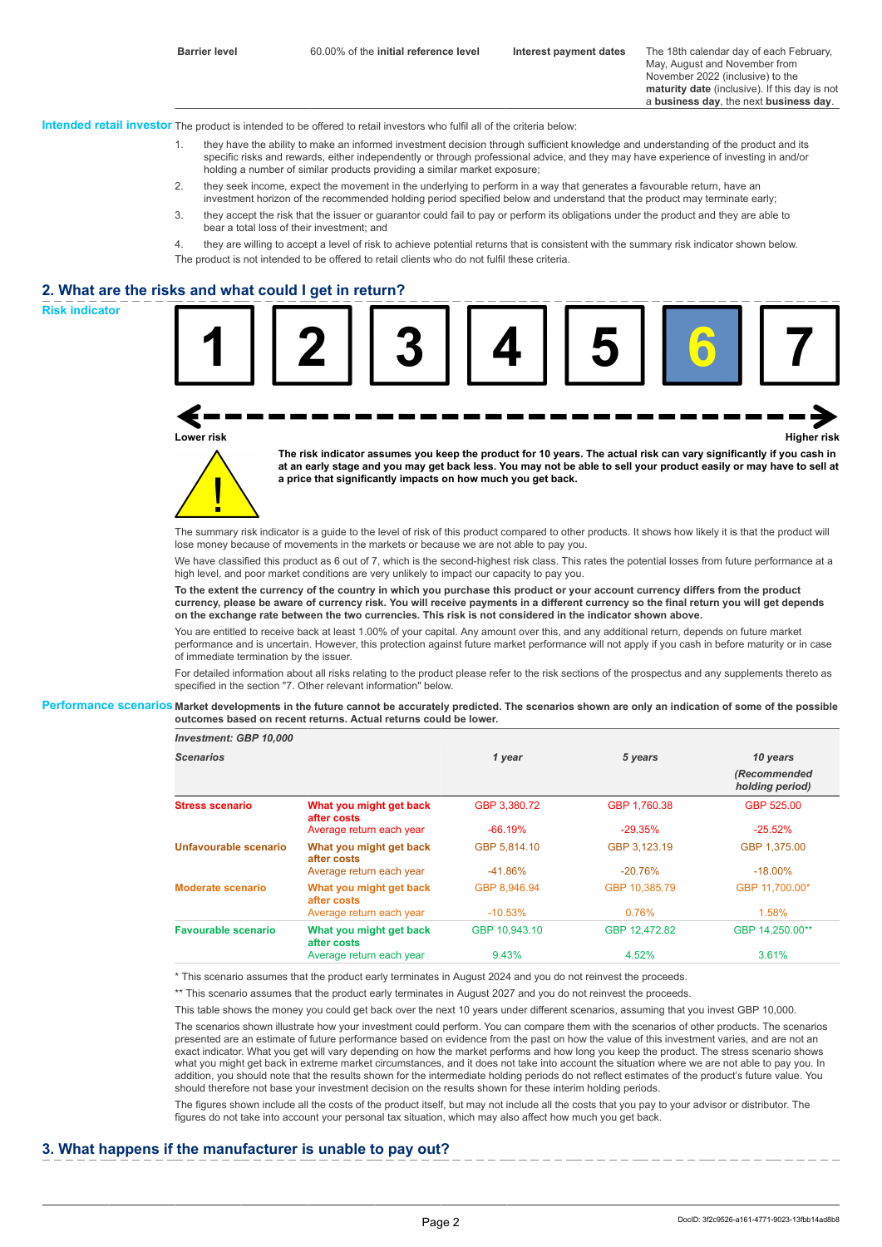May, August and November from November 2022 (inclusive) to the **maturity date** (inclusive). If this day is not a **business day**, the next **business day**.

**Intended retail investor** The product is intended to be offered to retail investors who fulfil all of the criteria below:

- 1. they have the ability to make an informed investment decision through sufficient knowledge and understanding of the product and its specific risks and rewards, either independently or through professional advice, and they may have experience of investing in and/or holding a number of similar products providing a similar market exposure;
- 2. they seek income, expect the movement in the underlying to perform in a way that generates a favourable return, have an investment horizon of the recommended holding period specified below and understand that the product may terminate early;
- 3. they accept the risk that the issuer or guarantor could fail to pay or perform its obligations under the product and they are able to bear a total loss of their investment; and
- 4. they are willing to accept a level of risk to achieve potential returns that is consistent with the summary risk indicator shown below. The product is not intended to be offered to retail clients who do not fulfil these criteria.

# **2. What are the risks and what could I get in return?**



**Lower risk Higher risk**

**The risk indicator assumes you keep the product for 10 years. The actual risk can vary significantly if you cash in at an early stage and you may get back less. You may not be able to sell your product easily or may have to sell at a price that significantly impacts on how much you get back.**

The summary risk indicator is a quide to the level of risk of this product compared to other products. It shows how likely it is that the product will lose money because of movements in the markets or because we are not able to pay you.

We have classified this product as 6 out of 7, which is the second-highest risk class. This rates the potential losses from future performance at a high level, and poor market conditions are very unlikely to impact our capacity to pay you.

**To the extent the currency of the country in which you purchase this product or your account currency differs from the product currency, please be aware of currency risk. You will receive payments in a different currency so the final return you will get depends on the exchange rate between the two currencies. This risk is not considered in the indicator shown above.**

You are entitled to receive back at least 1.00% of your capital. Any amount over this, and any additional return, depends on future market performance and is uncertain. However, this protection against future market performance will not apply if you cash in before maturity or in case of immediate termination by the issuer.

For detailed information about all risks relating to the product please refer to the risk sections of the prospectus and any supplements thereto as specified in the section "7. Other relevant information" below.

#### **Performance scenarios Market developments in the future cannot be accurately predicted. The scenarios shown are only an indication of some of the possible outcomes based on recent returns. Actual returns could be lower.**

*Investment: GBP 10,000*

| <b>Scenarios</b>           |                                        | 1 year        | 5 years       | 10 years                        |
|----------------------------|----------------------------------------|---------------|---------------|---------------------------------|
|                            |                                        |               |               | (Recommended<br>holding period) |
| <b>Stress scenario</b>     | What you might get back<br>after costs | GBP 3.380.72  | GBP 1.760.38  | GBP 525.00                      |
|                            | Average return each year               | $-66.19%$     | $-29.35%$     | $-25.52%$                       |
| Unfavourable scenario      | What you might get back<br>after costs | GBP 5.814.10  | GBP 3.123.19  | GBP 1.375.00                    |
|                            | Average return each year               | $-41.86%$     | $-20.76%$     | $-18.00\%$                      |
| <b>Moderate scenario</b>   | What you might get back<br>after costs | GBP 8.946.94  | GBP 10.385.79 | GBP 11.700.00*                  |
|                            | Average return each year               | $-10.53\%$    | 0.76%         | 1.58%                           |
| <b>Favourable scenario</b> | What you might get back<br>after costs | GBP 10.943.10 | GBP 12.472.82 | GBP 14.250.00**                 |
|                            | Average return each year               | 9.43%         | 4.52%         | 3.61%                           |

\* This scenario assumes that the product early terminates in August 2024 and you do not reinvest the proceeds.

\*\* This scenario assumes that the product early terminates in August 2027 and you do not reinvest the proceeds.

This table shows the money you could get back over the next 10 years under different scenarios, assuming that you invest GBP 10,000.

The scenarios shown illustrate how your investment could perform. You can compare them with the scenarios of other products. The scenarios presented are an estimate of future performance based on evidence from the past on how the value of this investment varies, and are not an exact indicator. What you get will vary depending on how the market performs and how long you keep the product. The stress scenario shows what you might get back in extreme market circumstances, and it does not take into account the situation where we are not able to pay you. In addition, you should note that the results shown for the intermediate holding periods do not reflect estimates of the product's future value. You should therefore not base your investment decision on the results shown for these interim holding periods.

The figures shown include all the costs of the product itself, but may not include all the costs that you pay to your advisor or distributor. The figures do not take into account your personal tax situation, which may also affect how much you get back.

## **3. What happens if the manufacturer is unable to pay out?**